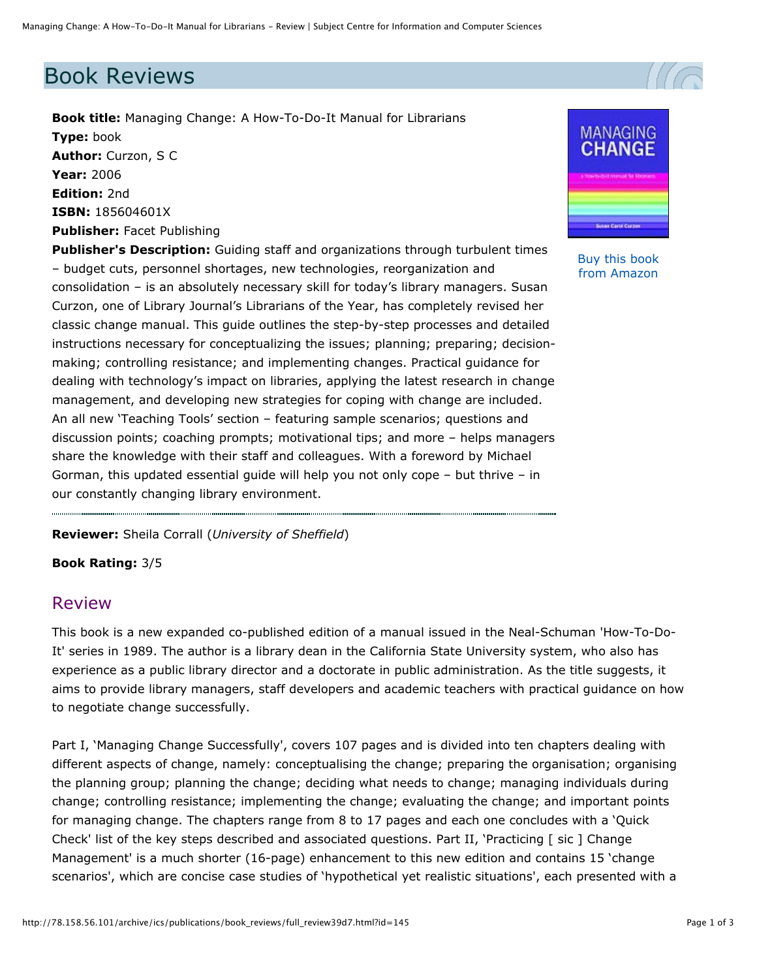## Book Reviews

**Book title:** Managing Change: A How-To-Do-It Manual for Librarians **Type:** book **Author:** Curzon, S C **Year:** 2006 **Edition:** 2nd **ISBN:** 185604601X **Publisher:** Facet Publishing

**Publisher's Description:** Guiding staff and organizations through turbulent times – budget cuts, personnel shortages, new technologies, reorganization and consolidation – is an absolutely necessary skill for today's library managers. Susan Curzon, one of Library Journal's Librarians of the Year, has completely revised her classic change manual. This guide outlines the step-by-step processes and detailed instructions necessary for conceptualizing the issues; planning; preparing; decisionmaking; controlling resistance; and implementing changes. Practical guidance for dealing with technology's impact on libraries, applying the latest research in change management, and developing new strategies for coping with change are included. An all new 'Teaching Tools' section – featuring sample scenarios; questions and discussion points; coaching prompts; motivational tips; and more – helps managers share the knowledge with their staff and colleagues. With a foreword by Michael Gorman, this updated essential guide will help you not only cope – but thrive – in our constantly changing library environment.

MANAGING

[Buy this book](http://www.amazon.co.uk/exec/obidos/ASIN/185604601X/highereducati-21/)  from Amazon

**Reviewer:** Sheila Corrall (*University of Sheffield*)

**Book Rating:** 3/5

## Review

This book is a new expanded co-published edition of a manual issued in the Neal-Schuman 'How-To-Do-It' series in 1989. The author is a library dean in the California State University system, who also has experience as a public library director and a doctorate in public administration. As the title suggests, it aims to provide library managers, staff developers and academic teachers with practical guidance on how to negotiate change successfully.

Part I, 'Managing Change Successfully', covers 107 pages and is divided into ten chapters dealing with different aspects of change, namely: conceptualising the change; preparing the organisation; organising the planning group; planning the change; deciding what needs to change; managing individuals during change; controlling resistance; implementing the change; evaluating the change; and important points for managing change. The chapters range from 8 to 17 pages and each one concludes with a 'Quick Check' list of the key steps described and associated questions. Part II, 'Practicing [ sic ] Change Management' is a much shorter (16-page) enhancement to this new edition and contains 15 'change scenarios', which are concise case studies of 'hypothetical yet realistic situations', each presented with a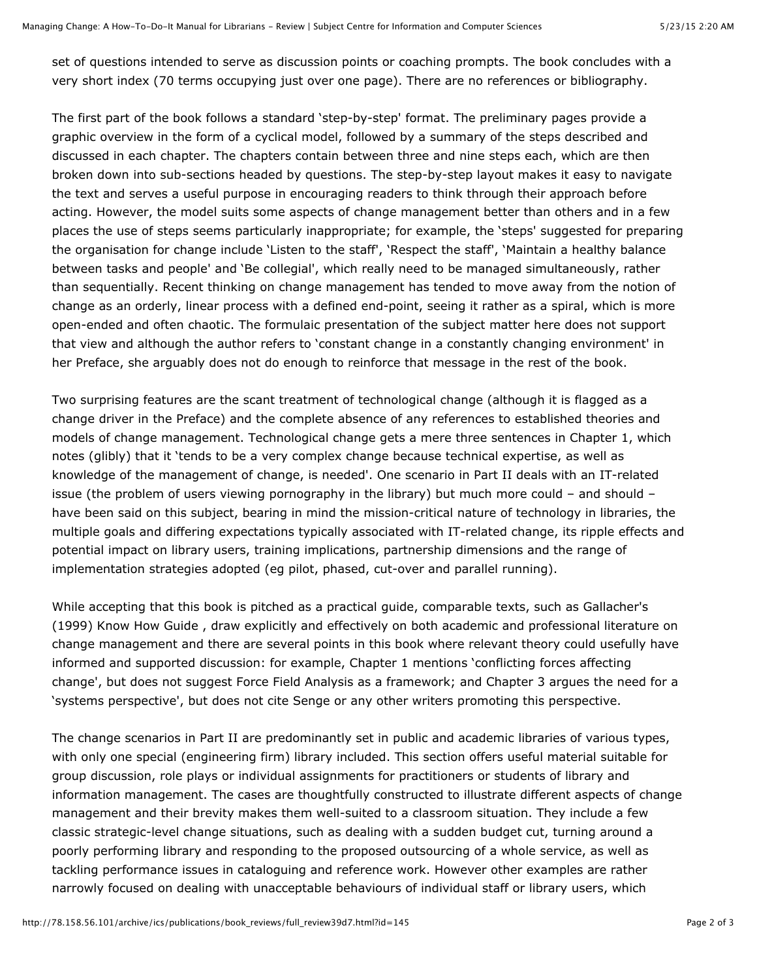set of questions intended to serve as discussion points or coaching prompts. The book concludes with a very short index (70 terms occupying just over one page). There are no references or bibliography.

The first part of the book follows a standard 'step-by-step' format. The preliminary pages provide a graphic overview in the form of a cyclical model, followed by a summary of the steps described and discussed in each chapter. The chapters contain between three and nine steps each, which are then broken down into sub-sections headed by questions. The step-by-step layout makes it easy to navigate the text and serves a useful purpose in encouraging readers to think through their approach before acting. However, the model suits some aspects of change management better than others and in a few places the use of steps seems particularly inappropriate; for example, the 'steps' suggested for preparing the organisation for change include 'Listen to the staff', 'Respect the staff', 'Maintain a healthy balance between tasks and people' and 'Be collegial', which really need to be managed simultaneously, rather than sequentially. Recent thinking on change management has tended to move away from the notion of change as an orderly, linear process with a defined end-point, seeing it rather as a spiral, which is more open-ended and often chaotic. The formulaic presentation of the subject matter here does not support that view and although the author refers to 'constant change in a constantly changing environment' in her Preface, she arguably does not do enough to reinforce that message in the rest of the book.

Two surprising features are the scant treatment of technological change (although it is flagged as a change driver in the Preface) and the complete absence of any references to established theories and models of change management. Technological change gets a mere three sentences in Chapter 1, which notes (glibly) that it 'tends to be a very complex change because technical expertise, as well as knowledge of the management of change, is needed'. One scenario in Part II deals with an IT-related issue (the problem of users viewing pornography in the library) but much more could – and should – have been said on this subject, bearing in mind the mission-critical nature of technology in libraries, the multiple goals and differing expectations typically associated with IT-related change, its ripple effects and potential impact on library users, training implications, partnership dimensions and the range of implementation strategies adopted (eg pilot, phased, cut-over and parallel running).

While accepting that this book is pitched as a practical guide, comparable texts, such as Gallacher's (1999) Know How Guide , draw explicitly and effectively on both academic and professional literature on change management and there are several points in this book where relevant theory could usefully have informed and supported discussion: for example, Chapter 1 mentions 'conflicting forces affecting change', but does not suggest Force Field Analysis as a framework; and Chapter 3 argues the need for a 'systems perspective', but does not cite Senge or any other writers promoting this perspective.

The change scenarios in Part II are predominantly set in public and academic libraries of various types, with only one special (engineering firm) library included. This section offers useful material suitable for group discussion, role plays or individual assignments for practitioners or students of library and information management. The cases are thoughtfully constructed to illustrate different aspects of change management and their brevity makes them well-suited to a classroom situation. They include a few classic strategic-level change situations, such as dealing with a sudden budget cut, turning around a poorly performing library and responding to the proposed outsourcing of a whole service, as well as tackling performance issues in cataloguing and reference work. However other examples are rather narrowly focused on dealing with unacceptable behaviours of individual staff or library users, which